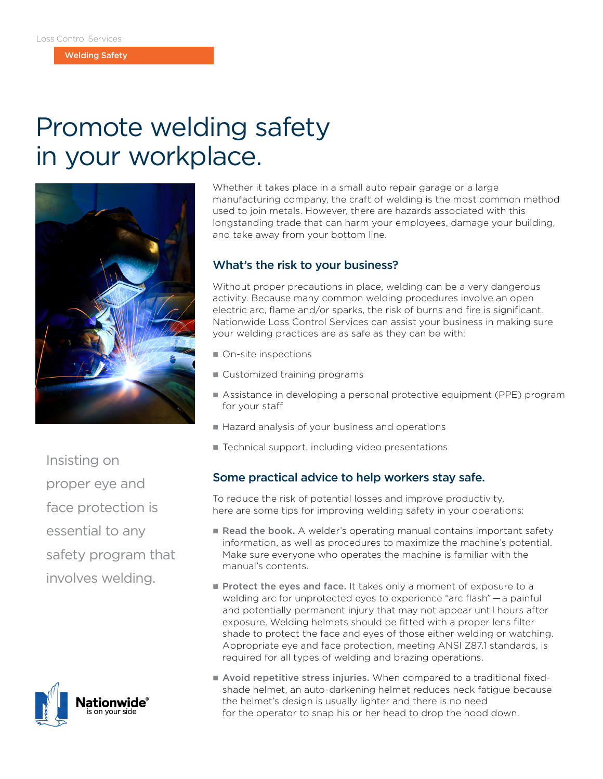# Promote welding safety in your workplace.



Insisting on proper eye and face protection is essential to any safety program that involves welding.



Whether it takes place in a small auto repair garage or a large manufacturing company, the craft of welding is the most common method used to join metals. However, there are hazards associated with this longstanding trade that can harm your employees, damage your building, and take away from your bottom line.

## What's the risk to your business?

Without proper precautions in place, welding can be a very dangerous activity. Because many common welding procedures involve an open electric arc, flame and/or sparks, the risk of burns and fire is significant. Nationwide Loss Control Services can assist your business in making sure your welding practices are as safe as they can be with:

- $\Box$  On-site inspections
- $\blacksquare$  Customized training programs
- n Assistance in developing a personal protective equipment (PPE) program for your staff
- Hazard analysis of your business and operations
- $\blacksquare$  Technical support, including video presentations

## Some practical advice to help workers stay safe.

To reduce the risk of potential losses and improve productivity, here are some tips for improving welding safety in your operations:

- Read the book. A welder's operating manual contains important safety information, as well as procedures to maximize the machine's potential. Make sure everyone who operates the machine is familiar with the manual's contents.
- **Protect the eyes and face.** It takes only a moment of exposure to a welding arc for unprotected eyes to experience "arc flash" — a painful and potentially permanent injury that may not appear until hours after exposure. Welding helmets should be fitted with a proper lens filter shade to protect the face and eyes of those either welding or watching. Appropriate eye and face protection, meeting ANSI Z87.1 standards, is required for all types of welding and brazing operations.
- Avoid repetitive stress injuries. When compared to a traditional fixedshade helmet, an auto-darkening helmet reduces neck fatigue because the helmet's design is usually lighter and there is no need for the operator to snap his or her head to drop the hood down.